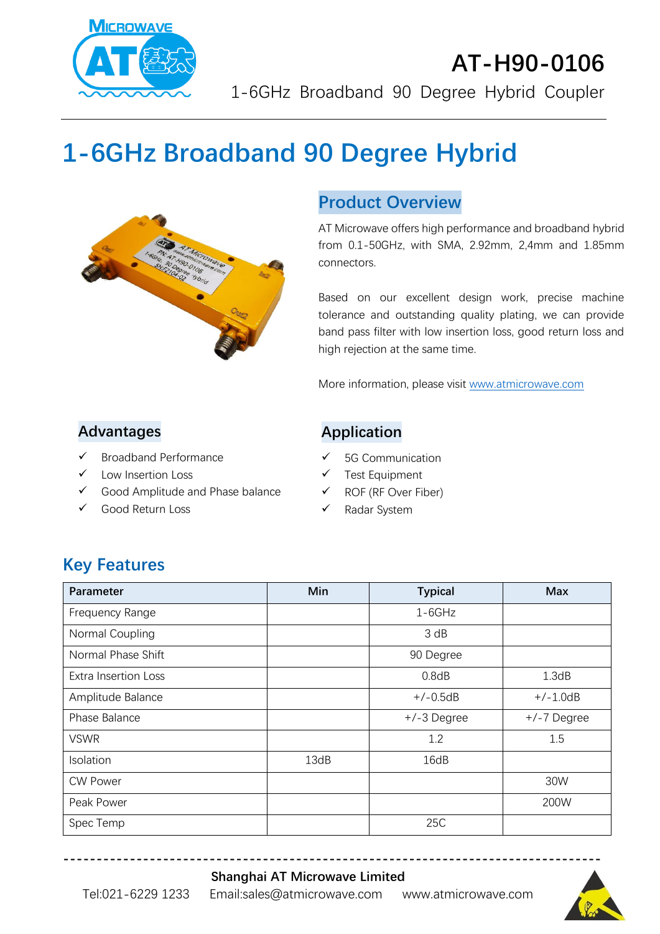

# **AT-H90-0106** 1-6GHz Broadband 90 Degree Hybrid Coupler

# **1-6GHz Broadband 90 Degree Hybrid**



## **Product Overview**

AT Microwave offers high performance and broadband hybrid from 0.1-50GHz, with SMA, 2.92mm, 2,4mm and 1.85mm connectors.

Based on our excellent design work, precise machine tolerance and outstanding quality plating, we can provide band pass filter with low insertion loss, good return loss and high rejection at the same time.

More information, please visit [www.atmicrowave.com](http://www.atmicrowave.com/)

#### **Advantages**

- ✓ Broadband Performance
- Low Insertion Loss
- ✓ Good Amplitude and Phase balance
- Good Return Loss

#### **Application**

- ✓ 5G Communication
- ✓ Test Equipment
- ✓ ROF (RF Over Fiber)
- ✓ Radar System

# **Key Features**

| Parameter                   | Min  | <b>Typical</b> | <b>Max</b>  |
|-----------------------------|------|----------------|-------------|
| Frequency Range             |      | $1-6GHz$       |             |
| Normal Coupling             |      | 3 dB           |             |
| Normal Phase Shift          |      | 90 Degree      |             |
| <b>Extra Insertion Loss</b> |      | 0.8dB          | 1.3dB       |
| Amplitude Balance           |      | $+/-0.5dB$     | $+/-1.0dB$  |
| Phase Balance               |      | +/-3 Degree    | +/-7 Degree |
| <b>VSWR</b>                 |      | 1.2            | 1.5         |
| Isolation                   | 13dB | 16dB           |             |
| <b>CW Power</b>             |      |                | 30W         |
| Peak Power                  |      |                | 200W        |
| Spec Temp                   |      | 25C            |             |

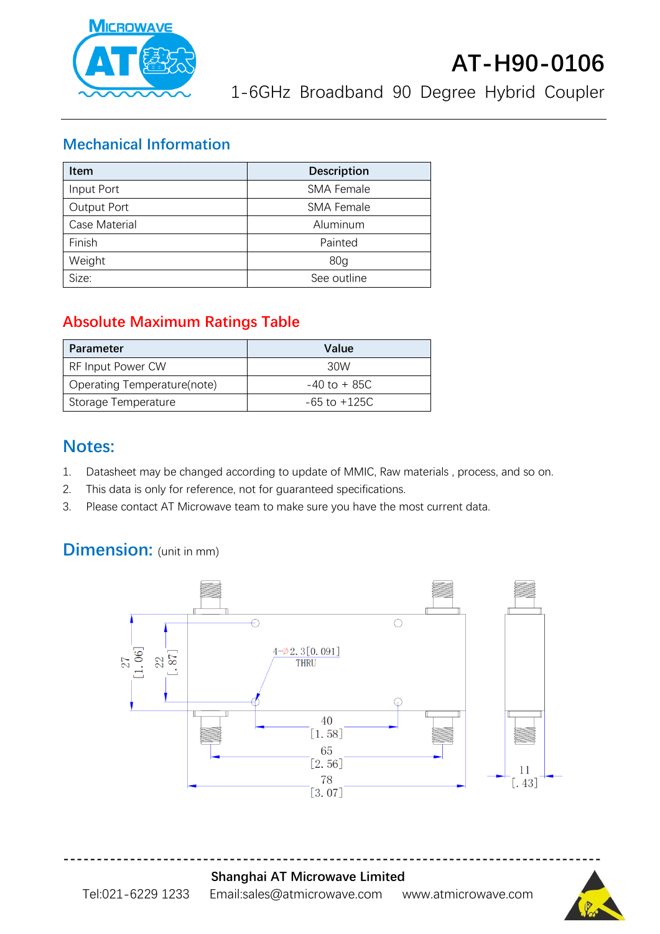

1-6GHz Broadband 90 Degree Hybrid Coupler

#### **Mechanical Information**

| <b>Item</b>   | <b>Description</b> |  |
|---------------|--------------------|--|
| Input Port    | <b>SMA Female</b>  |  |
| Output Port   | <b>SMA Female</b>  |  |
| Case Material | Aluminum           |  |
| Finish        | Painted            |  |
| Weight        | 80 <sub>g</sub>    |  |
| Size:         | See outline        |  |

## **Absolute Maximum Ratings Table**

| Parameter                   | Value            |
|-----------------------------|------------------|
| <b>RF Input Power CW</b>    | 30W              |
| Operating Temperature(note) | $-40$ to $+85C$  |
| Storage Temperature         | $-65$ to $+125C$ |

## **Notes:**

- 1. Datasheet may be changed according to update of MMIC, Raw materials , process, and so on.
- 2. This data is only for reference, not for guaranteed specifications.
- 3. Please contact AT Microwave team to make sure you have the most current data.

# **Dimension:** (unit in mm)